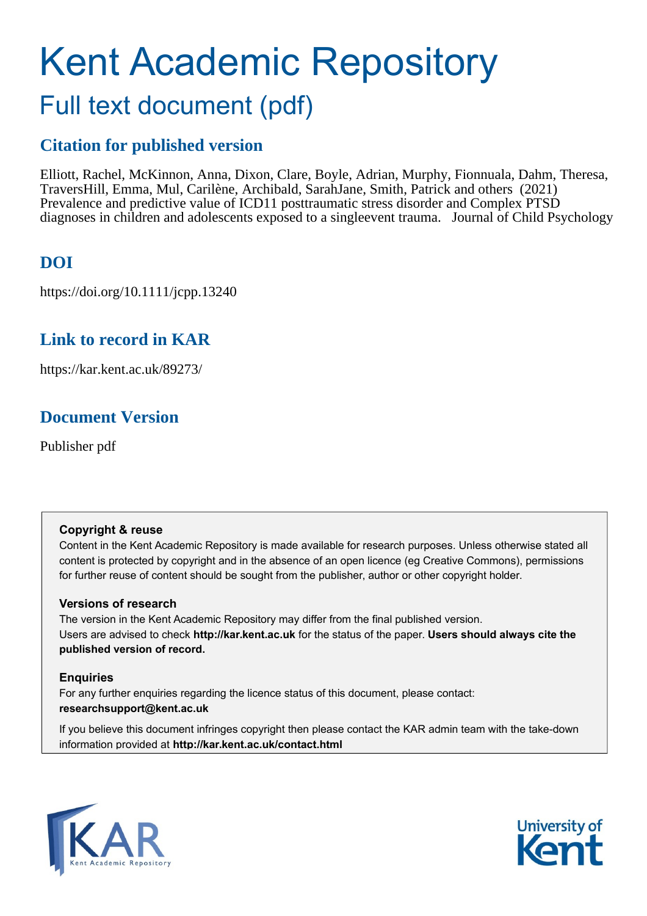# Kent Academic Repository Full text document (pdf)

# **Citation for published version**

Elliott, Rachel, McKinnon, Anna, Dixon, Clare, Boyle, Adrian, Murphy, Fionnuala, Dahm, Theresa, Travers Hill, Emma, Mul, Carilène, Archibald, Sarah Jane, Smith, Patrick and others (2021) Prevalence and predictive value of ICD11 posttraumatic stress disorder and Complex PTSD diagnoses in children and adolescents exposed to a single event trauma. Journal of Child Psychology

# **DOI**

https://doi.org/10.1111/jcpp.13240

## **Link to record in KAR**

https://kar.kent.ac.uk/89273/

# **Document Version**

Publisher pdf

### **Copyright & reuse**

Content in the Kent Academic Repository is made available for research purposes. Unless otherwise stated all content is protected by copyright and in the absence of an open licence (eg Creative Commons), permissions for further reuse of content should be sought from the publisher, author or other copyright holder.

### **Versions of research**

The version in the Kent Academic Repository may differ from the final published version. Users are advised to check **http://kar.kent.ac.uk** for the status of the paper. **Users should always cite the published version of record.**

### **Enquiries**

For any further enquiries regarding the licence status of this document, please contact: **researchsupport@kent.ac.uk**

If you believe this document infringes copyright then please contact the KAR admin team with the take-down information provided at **http://kar.kent.ac.uk/contact.html**



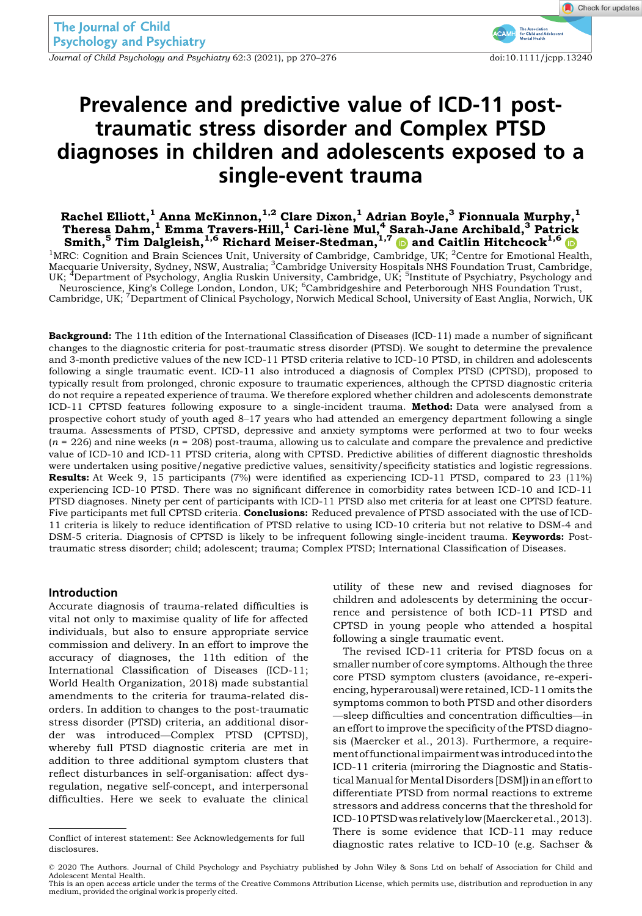Journal of Child Psychology and Psychiatry 62:3 (2021), pp 270-276 doi:10.1111/jcpp.13240

Check for updates

# Prevalence and predictive value of ICD-11 posttraumatic stress disorder and Complex PTSD diagnoses in children and adolescents exposed to a single-event trauma

### Rachel Elliott, $^{1}$ Anna McKinnon, $^{1,2}$  Clare Dixon, $^{1}$  Adrian Boyle, $^{3}$  Fionnuala Murphy, $^{1}$ Theresa Dahm,  $^1$  Emma Travers-Hill,  $^1$  Cari-lène Mul,  $^4$  Sarah-Jane Archibald,  $^3$  Patrick Smith, $^5$  Tim Dalgleish, $^{1,6}$  $^{1,6}$  $^{1,6}$  Richard Meiser-Stedman, $^{1,7}$  $^{1,7}$  $^{1,7}$   $\textcolor{blue} \bullet$  and Caitlin Hitchcock $^{1,6}$

<sup>1</sup>MRC: Cognition and Brain Sciences Unit, University of Cambridge, Cambridge, UK; <sup>2</sup>Centre for Emotional Health, Macquarie University, Sydney, NSW, Australia; <sup>3</sup>Cambridge University Hospitals NHS Foundation Trust, Cambridge,<br>UK; <sup>4</sup>Department of Psychology, Anglia Ruskin University, Cambridge, UK; <sup>5</sup>Institute of Psychiatry, Psychol Neuroscience, King's College London, London, UK; <sup>6</sup>Cambridgeshire and Peterborough NHS Foundation Trust,<br>Cambridge, UK; <sup>7</sup>Department of Clinical Psychology, Norwich Medical School, University of East Anglia, Norwich, UK

Background: The 11th edition of the International Classification of Diseases (ICD-11) made a number of significant changes to the diagnostic criteria for post-traumatic stress disorder (PTSD). We sought to determine the prevalence and 3-month predictive values of the new ICD-11 PTSD criteria relative to ICD-10 PTSD, in children and adolescents following a single traumatic event. ICD-11 also introduced a diagnosis of Complex PTSD (CPTSD), proposed to typically result from prolonged, chronic exposure to traumatic experiences, although the CPTSD diagnostic criteria do not require a repeated experience of trauma. We therefore explored whether children and adolescents demonstrate ICD-11 CPTSD features following exposure to a single-incident trauma. Method: Data were analysed from a prospective cohort study of youth aged 8–17 years who had attended an emergency department following a single trauma. Assessments of PTSD, CPTSD, depressive and anxiety symptoms were performed at two to four weeks  $(n = 226)$  and nine weeks  $(n = 208)$  post-trauma, allowing us to calculate and compare the prevalence and predictive value of ICD-10 and ICD-11 PTSD criteria, along with CPTSD. Predictive abilities of different diagnostic thresholds were undertaken using positive/negative predictive values, sensitivity/specificity statistics and logistic regressions. Results: At Week 9, 15 participants (7%) were identified as experiencing ICD-11 PTSD, compared to 23 (11%) experiencing ICD-10 PTSD. There was no significant difference in comorbidity rates between ICD-10 and ICD-11 PTSD diagnoses. Ninety per cent of participants with ICD-11 PTSD also met criteria for at least one CPTSD feature. Five participants met full CPTSD criteria. Conclusions: Reduced prevalence of PTSD associated with the use of ICD-11 criteria is likely to reduce identification of PTSD relative to using ICD-10 criteria but not relative to DSM-4 and DSM-5 criteria. Diagnosis of CPTSD is likely to be infrequent following single-incident trauma. **Keywords:** Posttraumatic stress disorder; child; adolescent; trauma; Complex PTSD; International Classification of Diseases.

#### Introduction

Accurate diagnosis of trauma-related difficulties is vital not only to maximise quality of life for affected individuals, but also to ensure appropriate service commission and delivery. In an effort to improve the accuracy of diagnoses, the 11th edition of the International Classification of Diseases (ICD-11; World Health Organization, 2018) made substantial amendments to the criteria for trauma-related disorders. In addition to changes to the post-traumatic stress disorder (PTSD) criteria, an additional disorder was introduced—Complex PTSD (CPTSD), whereby full PTSD diagnostic criteria are met in addition to three additional symptom clusters that reflect disturbances in self-organisation: affect dysregulation, negative self-concept, and interpersonal difficulties. Here we seek to evaluate the clinical

utility of these new and revised diagnoses for children and adolescents by determining the occurrence and persistence of both ICD-11 PTSD and CPTSD in young people who attended a hospital following a single traumatic event.

The revised ICD-11 criteria for PTSD focus on a smaller number of core symptoms. Although the three core PTSD symptom clusters (avoidance, re-experiencing, hyperarousal) were retained, ICD-11 omits the symptoms common to both PTSD and other disorders —sleep difficulties and concentration difficulties—in an effort to improve the specificity of the PTSD diagnosis (Maercker et al., 2013). Furthermore, a requirement of functional impairmentwas introduced into the ICD-11 criteria (mirroring the Diagnostic and StatisticalManual forMental Disorders [DSM]) in an effort to differentiate PTSD from normal reactions to extreme stressors and address concerns that the threshold for ICD-10PTSDwas relatively low (Maercker etal.,2013). There is some evidence that ICD-11 may reduce Conflict of interest statement: See Acknowledgements for full<br>diagnostic rates relative to ICD-10 (e.g. Sachser &

This is an open access article under the terms of the [Creative Commons Attribution](http://creativecommons.org/licenses/by/4.0/) License, which permits use, distribution and reproduction in any medium, provided the original work is properly cited.

disclosures.

<sup>©</sup> 2020 The Authors. Journal of Child Psychology and Psychiatry published by John Wiley & Sons Ltd on behalf of Association for Child and Adolescent Mental Health.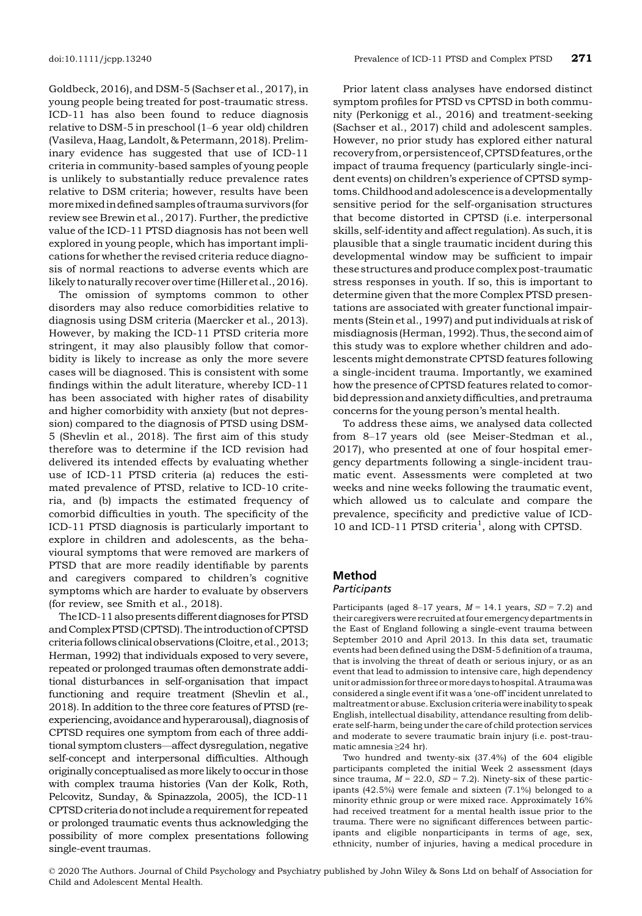Goldbeck, 2016), and DSM-5 (Sachser et al., 2017), in young people being treated for post-traumatic stress. ICD-11 has also been found to reduce diagnosis relative to DSM-5 in preschool (1–6 year old) children (Vasileva, Haag, Landolt, & Petermann, 2018). Preliminary evidence has suggested that use of ICD-11 criteria in community-based samples of young people is unlikely to substantially reduce prevalence rates relative to DSM criteria; however, results have been moremixed indefined samples of trauma survivors (for review see Brewin et al., 2017). Further, the predictive value of the ICD-11 PTSD diagnosis has not been well explored in young people, which has important implications for whether the revised criteria reduce diagnosis of normal reactions to adverse events which are likely to naturally recover over time (Hiller et al., 2016).

The omission of symptoms common to other disorders may also reduce comorbidities relative to diagnosis using DSM criteria (Maercker et al., 2013). However, by making the ICD-11 PTSD criteria more stringent, it may also plausibly follow that comorbidity is likely to increase as only the more severe cases will be diagnosed. This is consistent with some findings within the adult literature, whereby ICD-11 has been associated with higher rates of disability and higher comorbidity with anxiety (but not depression) compared to the diagnosis of PTSD using DSM-5 (Shevlin et al., 2018). The first aim of this study therefore was to determine if the ICD revision had delivered its intended effects by evaluating whether use of ICD-11 PTSD criteria (a) reduces the estimated prevalence of PTSD, relative to ICD-10 criteria, and (b) impacts the estimated frequency of comorbid difficulties in youth. The specificity of the ICD-11 PTSD diagnosis is particularly important to explore in children and adolescents, as the behavioural symptoms that were removed are markers of PTSD that are more readily identifiable by parents and caregivers compared to children's cognitive symptoms which are harder to evaluate by observers (for review, see Smith et al., 2018).

The ICD-11 also presents different diagnoses for PTSD and Complex PTSD (CPTSD). The introduction ofCPTSD criteria follows clinical observations (Cloitre, et al., 2013; Herman, 1992) that individuals exposed to very severe, repeated or prolonged traumas often demonstrate additional disturbances in self-organisation that impact functioning and require treatment (Shevlin et al., 2018). In addition to the three core features of PTSD (reexperiencing, avoidance and hyperarousal), diagnosis of CPTSD requires one symptom from each of three additional symptom clusters—affect dysregulation, negative self-concept and interpersonal difficulties. Although originally conceptualised asmore likely to occur in those with complex trauma histories (Van der Kolk, Roth, Pelcovitz, Sunday, & Spinazzola, 2005), the ICD-11 CPTSD criteriadonot includea requirement for repeated or prolonged traumatic events thus acknowledging the possibility of more complex presentations following single-event traumas.

Prior latent class analyses have endorsed distinct symptom profiles for PTSD vs CPTSD in both community (Perkonigg et al., 2016) and treatment-seeking (Sachser et al., 2017) child and adolescent samples. However, no prior study has explored either natural recovery from,orpersistenceof,CPTSD features,or the impact of trauma frequency (particularly single-incident events) on children's experience of CPTSD symptoms.Childhoodand adolescence is adevelopmentally sensitive period for the self-organisation structures that become distorted in CPTSD (i.e. interpersonal skills, self-identity and affect regulation). As such, it is plausible that a single traumatic incident during this developmental window may be sufficient to impair these structures and produce complex post-traumatic stress responses in youth. If so, this is important to determine given that the more Complex PTSD presentations are associated with greater functional impairments (Stein et al., 1997) and put individuals at risk of misdiagnosis (Herman, 1992). Thus, the second aim of this study was to explore whether children and adolescents might demonstrate CPTSD features following a single-incident trauma. Importantly, we examined how the presence of CPTSD features related to comorbid depression and anxiety difficulties, and pretrauma concerns for the young person's mental health.

To address these aims, we analysed data collected from 8–17 years old (see Meiser-Stedman et al., 2017), who presented at one of four hospital emergency departments following a single-incident traumatic event. Assessments were completed at two weeks and nine weeks following the traumatic event, which allowed us to calculate and compare the prevalence, specificity and predictive value of ICD-10 and ICD-11 PTSD criteria<sup>1</sup>, along with CPTSD.

### Method

#### **Participants**

Participants (aged 8–17 years,  $M = 14.1$  years,  $SD = 7.2$ ) and their caregivers were recruited at four emergency departments in the East of England following a single-event trauma between September 2010 and April 2013. In this data set, traumatic events had been defined using the DSM-5 definition of a trauma, that is involving the threat of death or serious injury, or as an event that lead to admission to intensive care, high dependency unitor admission for threeormoredays tohospital.A traumawas considered a single event if it was a 'one-off' incident unrelated to maltreatment or abuse. Exclusion criteria were inability to speak English, intellectual disability, attendance resulting from deliberate self-harm, being under the care of child protection services and moderate to severe traumatic brain injury (i.e. post-traumatic amnesia ≥24 hr).

Two hundred and twenty-six (37.4%) of the 604 eligible participants completed the initial Week 2 assessment (days since trauma,  $M = 22.0$ ,  $SD = 7.2$ ). Ninety-six of these participants (42.5%) were female and sixteen (7.1%) belonged to a minority ethnic group or were mixed race. Approximately 16% had received treatment for a mental health issue prior to the trauma. There were no significant differences between participants and eligible nonparticipants in terms of age, sex, ethnicity, number of injuries, having a medical procedure in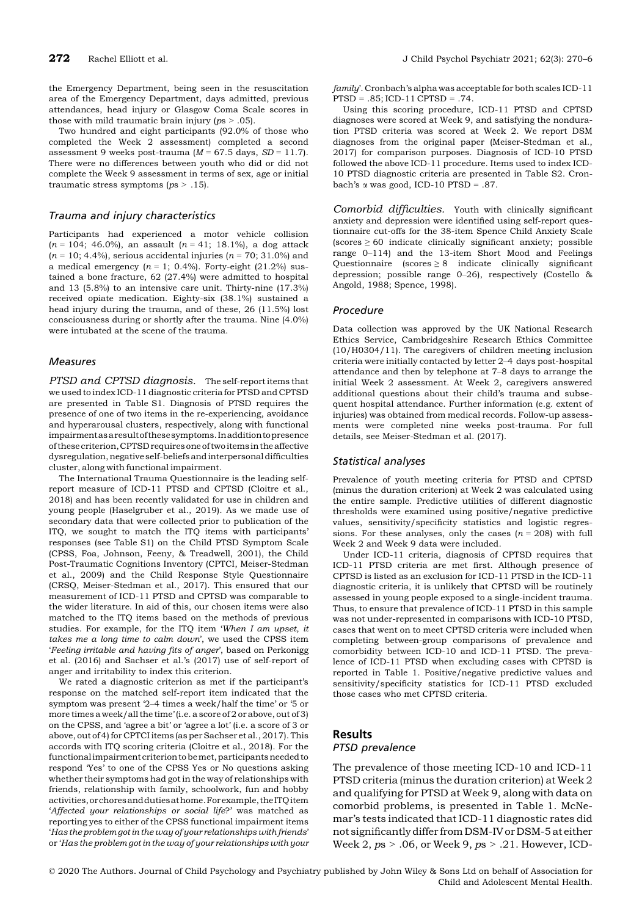the Emergency Department, being seen in the resuscitation area of the Emergency Department, days admitted, previous attendances, head injury or Glasgow Coma Scale scores in those with mild traumatic brain injury ( $ps > .05$ ).

Two hundred and eight participants (92.0% of those who completed the Week 2 assessment) completed a second assessment 9 weeks post-trauma ( $M = 67.5$  days,  $SD = 11.7$ ). There were no differences between youth who did or did not complete the Week 9 assessment in terms of sex, age or initial traumatic stress symptoms ( $ps > .15$ ).

#### Trauma and injury characteristics

Participants had experienced a motor vehicle collision  $(n = 104; 46.0\%)$ , an assault  $(n = 41; 18.1\%)$ , a dog attack  $(n = 10; 4.4%)$ , serious accidental injuries  $(n = 70; 31.0%)$  and a medical emergency  $(n = 1; 0.4\%)$ . Forty-eight (21.2%) sustained a bone fracture, 62 (27.4%) were admitted to hospital and 13 (5.8%) to an intensive care unit. Thirty-nine (17.3%) received opiate medication. Eighty-six (38.1%) sustained a head injury during the trauma, and of these, 26 (11.5%) lost consciousness during or shortly after the trauma. Nine (4.0%) were intubated at the scene of the trauma.

#### **Measures**

PTSD and CPTSD diagnosis. The self-report items that we used to index ICD-11 diagnostic criteria for PTSD and CPTSD are presented in Table S1. Diagnosis of PTSD requires the presence of one of two items in the re-experiencing, avoidance and hyperarousal clusters, respectively, along with functional impairmentasaresultof thesesymptoms. Inaddition topresence of these criterion,CPTSD requires one of two items in the affective dysregulation, negative self-beliefs and interpersonal difficulties cluster, along with functional impairment.

The International Trauma Questionnaire is the leading selfreport measure of ICD-11 PTSD and CPTSD (Cloitre et al., 2018) and has been recently validated for use in children and young people (Haselgruber et al., 2019). As we made use of secondary data that were collected prior to publication of the ITQ, we sought to match the ITQ items with participants' responses (see Table S1) on the Child PTSD Symptom Scale (CPSS, Foa, Johnson, Feeny, & Treadwell, 2001), the Child Post-Traumatic Cognitions Inventory (CPTCI, Meiser-Stedman et al., 2009) and the Child Response Style Questionnaire (CRSQ, Meiser-Stedman et al., 2017). This ensured that our measurement of ICD-11 PTSD and CPTSD was comparable to the wider literature. In aid of this, our chosen items were also matched to the ITQ items based on the methods of previous studies. For example, for the ITQ item 'When I am upset, it takes me a long time to calm down', we used the CPSS item 'Feeling irritable and having fits of anger', based on Perkonigg et al. (2016) and Sachser et al.'s (2017) use of self-report of anger and irritability to index this criterion.

We rated a diagnostic criterion as met if the participant's response on the matched self-report item indicated that the symptom was present '2–4 times a week/half the time' or '5 or more times a week/all the time' (i.e. a score of 2 or above, out of 3) on the CPSS, and 'agree a bit' or 'agree a lot' (i.e. a score of 3 or above, out of 4) for CPTCI items (as per Sachser et al., 2017). This accords with ITQ scoring criteria (Cloitre et al., 2018). For the functional impairment criterion to be met, participants needed to respond 'Yes' to one of the CPSS Yes or No questions asking whether their symptoms had got in the way of relationships with friends, relationship with family, schoolwork, fun and hobby activities,orchoresanddutiesathome.Forexample, the ITQ item 'Affected your relationships or social life?' was matched as reporting yes to either of the CPSS functional impairment items 'Has the problem got in the way of your relationships with friends' or 'Has the problem got in the way of your relationships with your family'. Cronbach's alpha was acceptable for both scales ICD-11 PTSD = .85; ICD-11 CPTSD = .74.

Using this scoring procedure, ICD-11 PTSD and CPTSD diagnoses were scored at Week 9, and satisfying the nonduration PTSD criteria was scored at Week 2. We report DSM diagnoses from the original paper (Meiser-Stedman et al., 2017) for comparison purposes. Diagnosis of ICD-10 PTSD followed the above ICD-11 procedure. Items used to index ICD-10 PTSD diagnostic criteria are presented in Table S2. Cronbach's  $\alpha$  was good, ICD-10 PTSD = .87.

Comorbid difficulties. Youth with clinically significant anxiety and depression were identified using self-report questionnaire cut-offs for the 38-item Spence Child Anxiety Scale  $(scores \geq 60$  indicate clinically significant anxiety; possible range 0–114) and the 13-item Short Mood and Feelings Questionnaire (scores ≥ 8 indicate clinically significant depression; possible range 0–26), respectively (Costello & Angold, 1988; Spence, 1998).

#### Procedure

Data collection was approved by the UK National Research Ethics Service, Cambridgeshire Research Ethics Committee (10/H0304/11). The caregivers of children meeting inclusion criteria were initially contacted by letter 2–4 days post-hospital attendance and then by telephone at 7–8 days to arrange the initial Week 2 assessment. At Week 2, caregivers answered additional questions about their child's trauma and subsequent hospital attendance. Further information (e.g. extent of injuries) was obtained from medical records. Follow-up assessments were completed nine weeks post-trauma. For full details, see Meiser-Stedman et al. (2017).

#### Statistical analyses

Prevalence of youth meeting criteria for PTSD and CPTSD (minus the duration criterion) at Week 2 was calculated using the entire sample. Predictive utilities of different diagnostic thresholds were examined using positive/negative predictive values, sensitivity/specificity statistics and logistic regressions. For these analyses, only the cases  $(n = 208)$  with full Week 2 and Week 9 data were included.

Under ICD-11 criteria, diagnosis of CPTSD requires that ICD-11 PTSD criteria are met first. Although presence of CPTSD is listed as an exclusion for ICD-11 PTSD in the ICD-11 diagnostic criteria, it is unlikely that CPTSD will be routinely assessed in young people exposed to a single-incident trauma. Thus, to ensure that prevalence of ICD-11 PTSD in this sample was not under-represented in comparisons with ICD-10 PTSD, cases that went on to meet CPTSD criteria were included when completing between-group comparisons of prevalence and comorbidity between ICD-10 and ICD-11 PTSD. The prevalence of ICD-11 PTSD when excluding cases with CPTSD is reported in Table 1. Positive/negative predictive values and sensitivity/specificity statistics for ICD-11 PTSD excluded those cases who met CPTSD criteria.

#### **Results**

#### PTSD prevalence

The prevalence of those meeting ICD-10 and ICD-11 PTSD criteria (minus the duration criterion) at Week 2 and qualifying for PTSD at Week 9, along with data on comorbid problems, is presented in Table 1. McNemar's tests indicated that ICD-11 diagnostic rates did not significantly differ from DSM-IV or DSM-5 at either Week 2,  $ps > .06$ , or Week 9,  $ps > .21$ . However, ICD-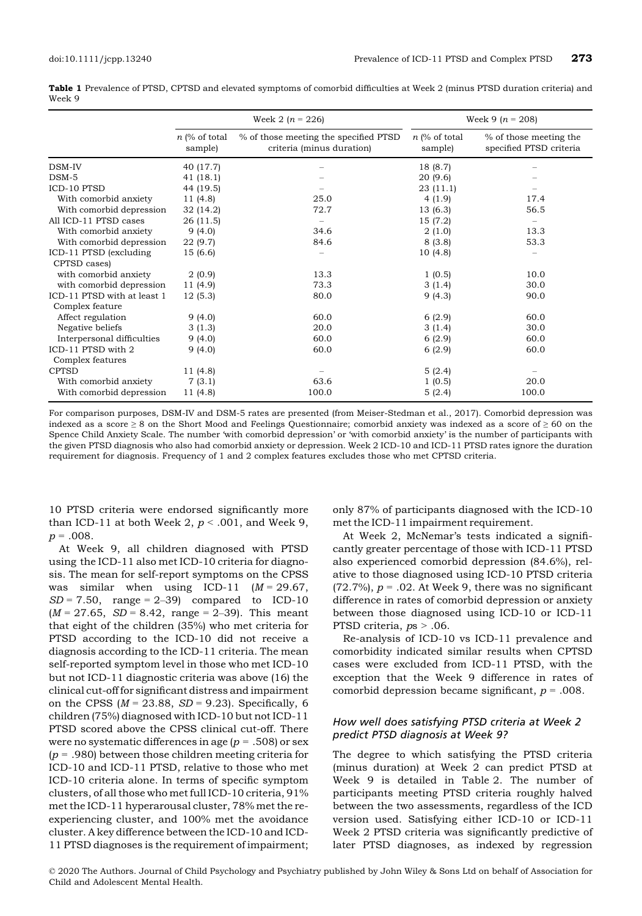|        | Table 1 Prevalence of PTSD, CPTSD and elevated symptoms of comorbid difficulties at Week 2 (minus PTSD duration criteria) and |  |
|--------|-------------------------------------------------------------------------------------------------------------------------------|--|
| Week 9 |                                                                                                                               |  |

|                             |                               | Week 2 $(n = 226)$                                                 | Week 9 ( $n = 208$ )       |                                                   |  |
|-----------------------------|-------------------------------|--------------------------------------------------------------------|----------------------------|---------------------------------------------------|--|
|                             | $n \,$ (% of total<br>sample) | % of those meeting the specified PTSD<br>criteria (minus duration) | $n$ (% of total<br>sample) | % of those meeting the<br>specified PTSD criteria |  |
| DSM-IV                      | 40 (17.7)                     |                                                                    | 18 (8.7)                   |                                                   |  |
| $DSM-5$                     | 41(18.1)                      |                                                                    | 20 (9.6)                   |                                                   |  |
| <b>ICD-10 PTSD</b>          | 44 (19.5)                     |                                                                    | 23(11.1)                   |                                                   |  |
| With comorbid anxiety       | 11(4.8)                       | 25.0                                                               | 4(1.9)                     | 17.4                                              |  |
| With comorbid depression    | 32(14.2)                      | 72.7                                                               | 13(6.3)                    | 56.5                                              |  |
| All ICD-11 PTSD cases       | 26 (11.5)                     |                                                                    | 15 (7.2)                   |                                                   |  |
| With comorbid anxiety       | 9(4.0)                        | 34.6                                                               | 2(1.0)                     | 13.3                                              |  |
| With comorbid depression    | 22 (9.7)                      | 84.6                                                               | 8(3.8)                     | 53.3                                              |  |
| ICD-11 PTSD (excluding      | 15 (6.6)                      |                                                                    | 10(4.8)                    |                                                   |  |
| CPTSD cases)                |                               |                                                                    |                            |                                                   |  |
| with comorbid anxiety       | 2(0.9)                        | 13.3                                                               | 1(0.5)                     | 10.0                                              |  |
| with comorbid depression    | 11 (4.9)                      | 73.3                                                               | 3(1.4)                     | 30.0                                              |  |
| ICD-11 PTSD with at least 1 | 12(5.3)                       | 80.0                                                               | 9(4.3)                     | 90.0                                              |  |
| Complex feature             |                               |                                                                    |                            |                                                   |  |
| Affect regulation           | 9(4.0)                        | 60.0                                                               | 6(2.9)                     | 60.0                                              |  |
| Negative beliefs            | 3(1.3)                        | 20.0                                                               | 3(1.4)                     | 30.0                                              |  |
| Interpersonal difficulties  | 9(4.0)                        | 60.0                                                               | 6(2.9)                     | 60.0                                              |  |
| ICD-11 PTSD with 2          | 9(4.0)                        | 60.0                                                               | 6(2.9)                     | 60.0                                              |  |
| Complex features            |                               |                                                                    |                            |                                                   |  |
| <b>CPTSD</b>                | 11 (4.8)                      |                                                                    | 5(2.4)                     |                                                   |  |
| With comorbid anxiety       | 7(3.1)                        | 63.6                                                               | 1(0.5)                     | 20.0                                              |  |
| With comorbid depression    | 11 (4.8)                      | 100.0                                                              | 5(2.4)                     | 100.0                                             |  |

For comparison purposes, DSM-IV and DSM-5 rates are presented (from Meiser-Stedman et al., 2017). Comorbid depression was indexed as a score ≥ 8 on the Short Mood and Feelings Questionnaire; comorbid anxiety was indexed as a score of ≥ 60 on the Spence Child Anxiety Scale. The number 'with comorbid depression' or 'with comorbid anxiety' is the number of participants with the given PTSD diagnosis who also had comorbid anxiety or depression. Week 2 ICD-10 and ICD-11 PTSD rates ignore the duration requirement for diagnosis. Frequency of 1 and 2 complex features excludes those who met CPTSD criteria.

10 PTSD criteria were endorsed significantly more than ICD-11 at both Week 2,  $p < .001$ , and Week 9,  $p = .008$ .

At Week 9, all children diagnosed with PTSD using the ICD-11 also met ICD-10 criteria for diagnosis. The mean for self-report symptoms on the CPSS was similar when using ICD-11  $(M = 29.67)$ ,  $SD = 7.50$ , range = 2-39) compared to ICD-10  $(M = 27.65, SD = 8.42, range = 2-39)$ . This meant that eight of the children (35%) who met criteria for PTSD according to the ICD-10 did not receive a diagnosis according to the ICD-11 criteria. The mean self-reported symptom level in those who met ICD-10 but not ICD-11 diagnostic criteria was above (16) the clinical cut-off for significant distress and impairment on the CPSS  $(M = 23.88, SD = 9.23)$ . Specifically, 6 children (75%) diagnosed with ICD-10 but not ICD-11 PTSD scored above the CPSS clinical cut-off. There were no systematic differences in age ( $p = .508$ ) or sex  $(p = .980)$  between those children meeting criteria for ICD-10 and ICD-11 PTSD, relative to those who met ICD-10 criteria alone. In terms of specific symptom clusters, of all those who met full ICD-10 criteria, 91% met the ICD-11 hyperarousal cluster, 78% met the reexperiencing cluster, and 100% met the avoidance cluster. A key difference between the ICD-10 and ICD-11 PTSD diagnoses is the requirement of impairment;

only 87% of participants diagnosed with the ICD-10 met the ICD-11 impairment requirement.

At Week 2, McNemar's tests indicated a significantly greater percentage of those with ICD-11 PTSD also experienced comorbid depression (84.6%), relative to those diagnosed using ICD-10 PTSD criteria (72.7%),  $p = .02$ . At Week 9, there was no significant difference in rates of comorbid depression or anxiety between those diagnosed using ICD-10 or ICD-11 PTSD criteria,  $ps > .06$ .

Re-analysis of ICD-10 vs ICD-11 prevalence and comorbidity indicated similar results when CPTSD cases were excluded from ICD-11 PTSD, with the exception that the Week 9 difference in rates of comorbid depression became significant,  $p = .008$ .

#### How well does satisfying PTSD criteria at Week 2 predict PTSD diagnosis at Week 9?

The degree to which satisfying the PTSD criteria (minus duration) at Week 2 can predict PTSD at Week 9 is detailed in Table 2. The number of participants meeting PTSD criteria roughly halved between the two assessments, regardless of the ICD version used. Satisfying either ICD-10 or ICD-11 Week 2 PTSD criteria was significantly predictive of later PTSD diagnoses, as indexed by regression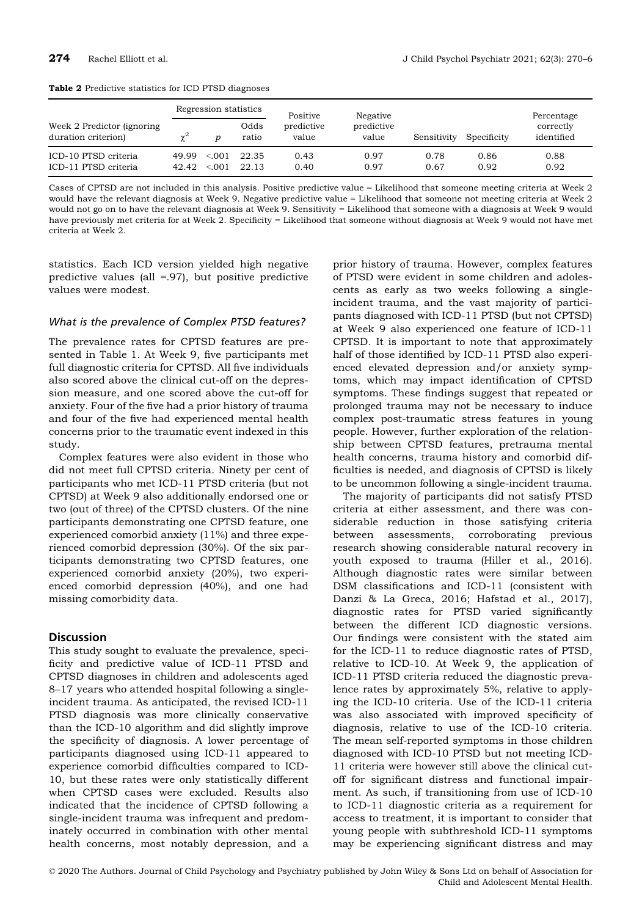|                                                    | Regression statistics |                  |                | Positive            | Negative            |              |              | Percentage              |
|----------------------------------------------------|-----------------------|------------------|----------------|---------------------|---------------------|--------------|--------------|-------------------------|
| Week 2 Predictor (ignoring)<br>duration criterion) |                       |                  | Odds<br>ratio  | predictive<br>value | predictive<br>value | Sensitivity  | Specificity  | correctly<br>identified |
| ICD-10 PTSD criteria<br>ICD-11 PTSD criteria       | 49.99<br>42.42        | < 0.01<br>< 0.01 | 22.35<br>22.13 | 0.43<br>0.40        | 0.97<br>0.97        | 0.78<br>0.67 | 0.86<br>0.92 | 0.88<br>0.92            |

Cases of CPTSD are not included in this analysis. Positive predictive value = Likelihood that someone meeting criteria at Week 2 would have the relevant diagnosis at Week 9. Negative predictive value = Likelihood that someone not meeting criteria at Week 2 would not go on to have the relevant diagnosis at Week 9. Sensitivity = Likelihood that someone with a diagnosis at Week 9 would have previously met criteria for at Week 2. Specificity = Likelihood that someone without diagnosis at Week 9 would not have met criteria at Week 2.

statistics. Each ICD version yielded high negative predictive values (all  $=0.97$ ), but positive predictive values were modest.

#### What is the prevalence of Complex PTSD features?

The prevalence rates for CPTSD features are presented in Table 1. At Week 9, five participants met full diagnostic criteria for CPTSD. All five individuals also scored above the clinical cut-off on the depression measure, and one scored above the cut-off for anxiety. Four of the five had a prior history of trauma and four of the five had experienced mental health concerns prior to the traumatic event indexed in this study.

Complex features were also evident in those who did not meet full CPTSD criteria. Ninety per cent of participants who met ICD-11 PTSD criteria (but not CPTSD) at Week 9 also additionally endorsed one or two (out of three) of the CPTSD clusters. Of the nine participants demonstrating one CPTSD feature, one experienced comorbid anxiety (11%) and three experienced comorbid depression (30%). Of the six participants demonstrating two CPTSD features, one experienced comorbid anxiety (20%), two experienced comorbid depression (40%), and one had missing comorbidity data.

#### **Discussion**

This study sought to evaluate the prevalence, specificity and predictive value of ICD-11 PTSD and CPTSD diagnoses in children and adolescents aged 8–17 years who attended hospital following a singleincident trauma. As anticipated, the revised ICD-11 PTSD diagnosis was more clinically conservative than the ICD-10 algorithm and did slightly improve the specificity of diagnosis. A lower percentage of participants diagnosed using ICD-11 appeared to experience comorbid difficulties compared to ICD-10, but these rates were only statistically different when CPTSD cases were excluded. Results also indicated that the incidence of CPTSD following a single-incident trauma was infrequent and predominately occurred in combination with other mental health concerns, most notably depression, and a

prior history of trauma. However, complex features of PTSD were evident in some children and adolescents as early as two weeks following a singleincident trauma, and the vast majority of participants diagnosed with ICD-11 PTSD (but not CPTSD) at Week 9 also experienced one feature of ICD-11 CPTSD. It is important to note that approximately half of those identified by ICD-11 PTSD also experienced elevated depression and/or anxiety symptoms, which may impact identification of CPTSD symptoms. These findings suggest that repeated or prolonged trauma may not be necessary to induce complex post-traumatic stress features in young people. However, further exploration of the relationship between CPTSD features, pretrauma mental health concerns, trauma history and comorbid difficulties is needed, and diagnosis of CPTSD is likely to be uncommon following a single-incident trauma.

The majority of participants did not satisfy PTSD criteria at either assessment, and there was considerable reduction in those satisfying criteria between assessments, corroborating previous research showing considerable natural recovery in youth exposed to trauma (Hiller et al., 2016). Although diagnostic rates were similar between DSM classifications and ICD-11 (consistent with Danzi & La Greca, 2016; Hafstad et al., 2017), diagnostic rates for PTSD varied significantly between the different ICD diagnostic versions. Our findings were consistent with the stated aim for the ICD-11 to reduce diagnostic rates of PTSD, relative to ICD-10. At Week 9, the application of ICD-11 PTSD criteria reduced the diagnostic prevalence rates by approximately 5%, relative to applying the ICD-10 criteria. Use of the ICD-11 criteria was also associated with improved specificity of diagnosis, relative to use of the ICD-10 criteria. The mean self-reported symptoms in those children diagnosed with ICD-10 PTSD but not meeting ICD-11 criteria were however still above the clinical cutoff for significant distress and functional impairment. As such, if transitioning from use of ICD-10 to ICD-11 diagnostic criteria as a requirement for access to treatment, it is important to consider that young people with subthreshold ICD-11 symptoms may be experiencing significant distress and may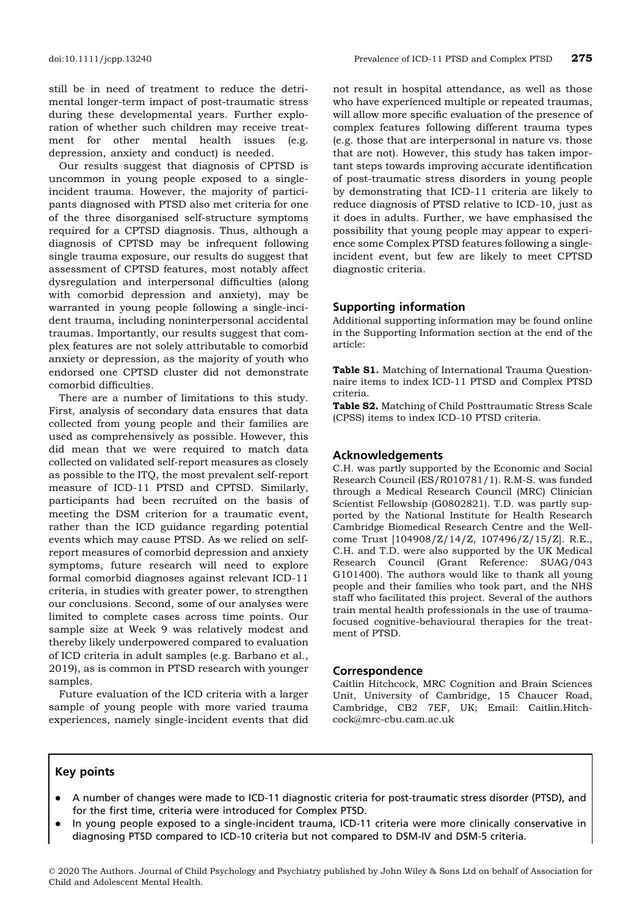still be in need of treatment to reduce the detrimental longer-term impact of post-traumatic stress during these developmental years. Further exploration of whether such children may receive treatment for other mental health issues (e.g. depression, anxiety and conduct) is needed.

Our results suggest that diagnosis of CPTSD is uncommon in young people exposed to a singleincident trauma. However, the majority of participants diagnosed with PTSD also met criteria for one of the three disorganised self-structure symptoms required for a CPTSD diagnosis. Thus, although a diagnosis of CPTSD may be infrequent following single trauma exposure, our results do suggest that assessment of CPTSD features, most notably affect dysregulation and interpersonal difficulties (along with comorbid depression and anxiety), may be warranted in young people following a single-incident trauma, including noninterpersonal accidental traumas. Importantly, our results suggest that complex features are not solely attributable to comorbid anxiety or depression, as the majority of youth who endorsed one CPTSD cluster did not demonstrate comorbid difficulties.

There are a number of limitations to this study. First, analysis of secondary data ensures that data collected from young people and their families are used as comprehensively as possible. However, this did mean that we were required to match data collected on validated self-report measures as closely as possible to the ITQ, the most prevalent self-report measure of ICD-11 PTSD and CPTSD. Similarly, participants had been recruited on the basis of meeting the DSM criterion for a traumatic event, rather than the ICD guidance regarding potential events which may cause PTSD. As we relied on selfreport measures of comorbid depression and anxiety symptoms, future research will need to explore formal comorbid diagnoses against relevant ICD-11 criteria, in studies with greater power, to strengthen our conclusions. Second, some of our analyses were limited to complete cases across time points. Our sample size at Week 9 was relatively modest and thereby likely underpowered compared to evaluation of ICD criteria in adult samples (e.g. Barbano et al., 2019), as is common in PTSD research with younger samples.

Future evaluation of the ICD criteria with a larger sample of young people with more varied trauma experiences, namely single-incident events that did

not result in hospital attendance, as well as those who have experienced multiple or repeated traumas, will allow more specific evaluation of the presence of complex features following different trauma types (e.g. those that are interpersonal in nature vs. those that are not). However, this study has taken important steps towards improving accurate identification of post-traumatic stress disorders in young people by demonstrating that ICD-11 criteria are likely to reduce diagnosis of PTSD relative to ICD-10, just as it does in adults. Further, we have emphasised the possibility that young people may appear to experience some Complex PTSD features following a singleincident event, but few are likely to meet CPTSD diagnostic criteria.

#### Supporting information

Additional supporting information may be found online in the Supporting Information section at the end of the article:

Table S1. Matching of International Trauma Questionnaire items to index ICD-11 PTSD and Complex PTSD criteria.

Table S2. Matching of Child Posttraumatic Stress Scale (CPSS) items to index ICD-10 PTSD criteria.

#### Acknowledgements

C.H. was partly supported by the Economic and Social Research Council (ES/R010781/1). R.M-S. was funded through a Medical Research Council (MRC) Clinician Scientist Fellowship (G0802821). T.D. was partly supported by the National Institute for Health Research Cambridge Biomedical Research Centre and the Wellcome Trust [104908/Z/14/Z, 107496/Z/15/Z]. R.E., C.H. and T.D. were also supported by the UK Medical Research Council (Grant Reference: SUAG/043 G101400). The authors would like to thank all young people and their families who took part, and the NHS staff who facilitated this project. Several of the authors train mental health professionals in the use of traumafocused cognitive-behavioural therapies for the treatment of PTSD.

#### Correspondence

Caitlin Hitchcock, MRC Cognition and Brain Sciences Unit, University of Cambridge, 15 Chaucer Road, Cambridge, CB2 7EF, UK; Email: Caitlin.Hitchcock@mrc-cbu.cam.ac.uk

#### Key points

- A number of changes were made to ICD-11 diagnostic criteria for post-traumatic stress disorder (PTSD), and for the first time, criteria were introduced for Complex PTSD.
- In young people exposed to a single-incident trauma, ICD-11 criteria were more clinically conservative in diagnosing PTSD compared to ICD-10 criteria but not compared to DSM-IV and DSM-5 criteria.